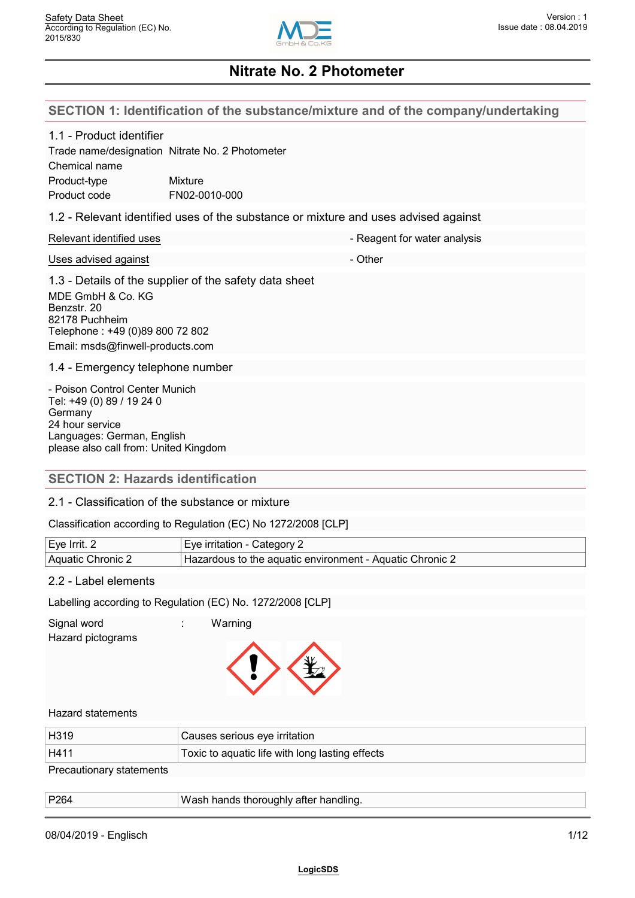

#### **SECTION 1: Identification of the substance/mixture and of the company/undertaking**

#### 1.1 - Product identifier

|               | Trade name/designation Nitrate No. 2 Photometer |
|---------------|-------------------------------------------------|
| Chemical name |                                                 |
| Product-type  | Mixture                                         |
| Product code  | FN02-0010-000                                   |

#### 1.2 - Relevant identified uses of the substance or mixture and uses advised against

| Relevant identified uses | - Reagent for water analysis |
|--------------------------|------------------------------|
|                          |                              |

#### Uses advised against the contract of the Chernal Contract of the Chernal Contract of the Chernal Contract of the Chernal Contract of the Chernal Contract of the Chernal Contract of the Chernal Contract of the Chernal Contr

1.3 - Details of the supplier of the safety data sheet MDE GmbH & Co. KG

Benzstr. 20 82178 Puchheim Telephone : +49 (0)89 800 72 802 Email: msds@finwell-products.com

1.4 - Emergency telephone number

- Poison Control Center Munich Tel: +49 (0) 89 / 19 24 0 **Germany** 24 hour service Languages: German, English please also call from: United Kingdom

## **SECTION 2: Hazards identification**

#### 2.1 - Classification of the substance or mixture

Classification according to Regulation (EC) No 1272/2008 [CLP]

| Eve Irrit. 2      | Category ∠<br>lrritation - C<br>Eve                                     |  |
|-------------------|-------------------------------------------------------------------------|--|
| ≒ Aquatic Chronic | — Aquatic Chronic ∠<br>Hazardous to the aquatic environment - $\lambda$ |  |

## 2.2 - Label elements

Labelling according to Regulation (EC) No. 1272/2008 [CLP]

Signal word : Warning

Hazard pictograms



#### Hazard statements

| H <sub>319</sub>         | Causes serious eye irritation                   |
|--------------------------|-------------------------------------------------|
| H411                     | Toxic to aquatic life with long lasting effects |
| Precautionary statements |                                                 |

| P264 | ™asn nands thoroughly after handlind. |
|------|---------------------------------------|
|      |                                       |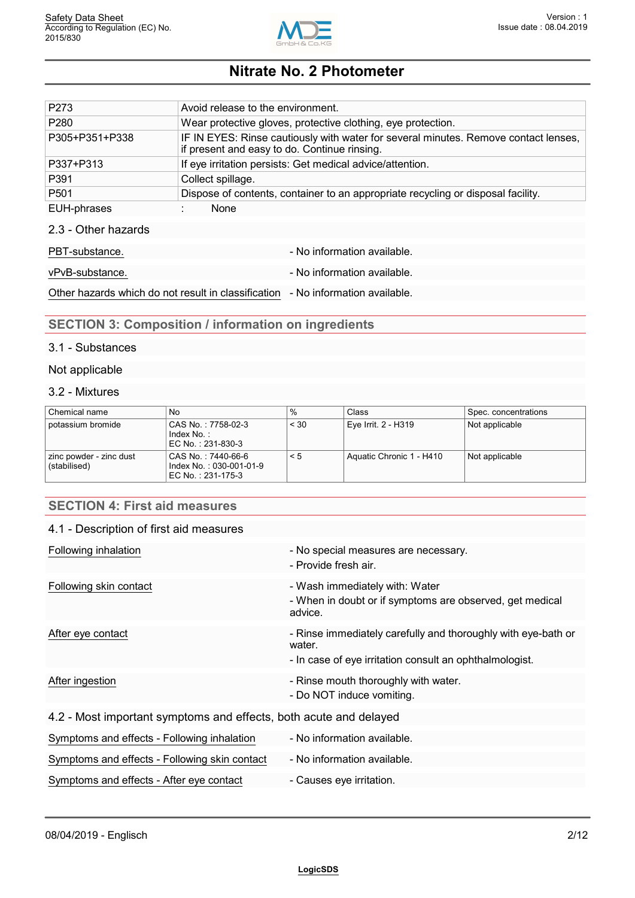

| P <sub>273</sub>    | Avoid release to the environment.                                                                                                   |  |  |  |  |
|---------------------|-------------------------------------------------------------------------------------------------------------------------------------|--|--|--|--|
| P <sub>280</sub>    | Wear protective gloves, protective clothing, eye protection.                                                                        |  |  |  |  |
| P305+P351+P338      | IF IN EYES: Rinse cautiously with water for several minutes. Remove contact lenses,<br>if present and easy to do. Continue rinsing. |  |  |  |  |
| P337+P313           | If eye irritation persists: Get medical advice/attention.                                                                           |  |  |  |  |
| P391                | Collect spillage.                                                                                                                   |  |  |  |  |
| P <sub>501</sub>    | Dispose of contents, container to an appropriate recycling or disposal facility.                                                    |  |  |  |  |
| EUH-phrases         | None                                                                                                                                |  |  |  |  |
| 2.3 - Other hazards |                                                                                                                                     |  |  |  |  |
| PBT-substance.      | - No information available.                                                                                                         |  |  |  |  |

vPvB-substance.  $\blacksquare$ 

Other hazards which do not result in classification - No information available.

# **SECTION 3: Composition / information on ingredients**

Symptoms and effects - After eye contact - Causes eye irritation.

#### 3.1 - Substances

#### Not applicable

### 3.2 - Mixtures

| Chemical name                           | No                                                                 | ℅        | Class                    | Spec. concentrations |
|-----------------------------------------|--------------------------------------------------------------------|----------|--------------------------|----------------------|
| potassium bromide                       | CAS No.: 7758-02-3<br>Index No.:<br>EC No.:231-830-3               | < 30     | Eye Irrit. 2 - H319      | Not applicable       |
| zinc powder - zinc dust<br>(stabilised) | CAS No.: 7440-66-6<br>Index No.: 030-001-01-9<br>EC No.: 231-175-3 | $\leq 5$ | Aquatic Chronic 1 - H410 | Not applicable       |

## **SECTION 4: First aid measures**

#### 4.1 - Description of first aid measures

| Following inhalation                                              | - No special measures are necessary.<br>- Provide fresh air.                                                                       |
|-------------------------------------------------------------------|------------------------------------------------------------------------------------------------------------------------------------|
| Following skin contact                                            | - Wash immediately with: Water<br>- When in doubt or if symptoms are observed, get medical<br>advice.                              |
| After eye contact                                                 | - Rinse immediately carefully and thoroughly with eye-bath or<br>water.<br>- In case of eye irritation consult an ophthalmologist. |
| After ingestion                                                   | - Rinse mouth thoroughly with water.<br>- Do NOT induce vomiting.                                                                  |
| 4.2 - Most important symptoms and effects, both acute and delayed |                                                                                                                                    |
| Symptoms and effects - Following inhalation                       | - No information available.                                                                                                        |
| Symptoms and effects - Following skin contact                     | - No information available.                                                                                                        |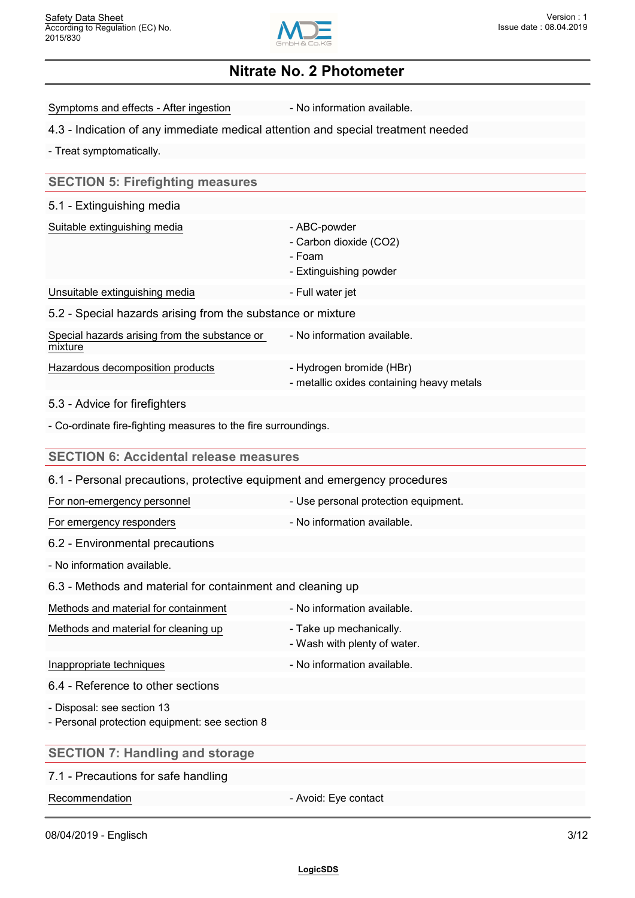

Symptoms and effects - After ingestion - No information available.

#### 4.3 - Indication of any immediate medical attention and special treatment needed

- Treat symptomatically.

## **SECTION 5: Firefighting measures**

#### 5.1 - Extinguishing media

| Suitable extinguishing media                                | - ABC-powder<br>- Carbon dioxide (CO2)                                |
|-------------------------------------------------------------|-----------------------------------------------------------------------|
|                                                             | - Foam<br>- Extinguishing powder                                      |
| Unsuitable extinguishing media                              | - Full water jet                                                      |
| 5.2 - Special hazards arising from the substance or mixture |                                                                       |
| Special hazards arising from the substance or<br>mixture    | - No information available.                                           |
| Hazardous decomposition products                            | - Hydrogen bromide (HBr)<br>- metallic oxides containing heavy metals |

#### 5.3 - Advice for firefighters

- Co-ordinate fire-fighting measures to the fire surroundings.

| <b>SECTION 6: Accidental release measures</b>                                |                                                         |
|------------------------------------------------------------------------------|---------------------------------------------------------|
| 6.1 - Personal precautions, protective equipment and emergency procedures    |                                                         |
| For non-emergency personnel                                                  | - Use personal protection equipment.                    |
| For emergency responders                                                     | - No information available.                             |
| 6.2 - Environmental precautions                                              |                                                         |
| - No information available.                                                  |                                                         |
| 6.3 - Methods and material for containment and cleaning up                   |                                                         |
| Methods and material for containment                                         | - No information available.                             |
| Methods and material for cleaning up                                         | - Take up mechanically.<br>- Wash with plenty of water. |
| Inappropriate techniques                                                     | - No information available.                             |
| 6.4 - Reference to other sections                                            |                                                         |
| - Disposal: see section 13<br>- Personal protection equipment: see section 8 |                                                         |
| <b>SECTION 7: Handling and storage</b>                                       |                                                         |
| 7.1 - Precautions for safe handling                                          |                                                         |
| Recommendation                                                               | - Avoid: Eye contact                                    |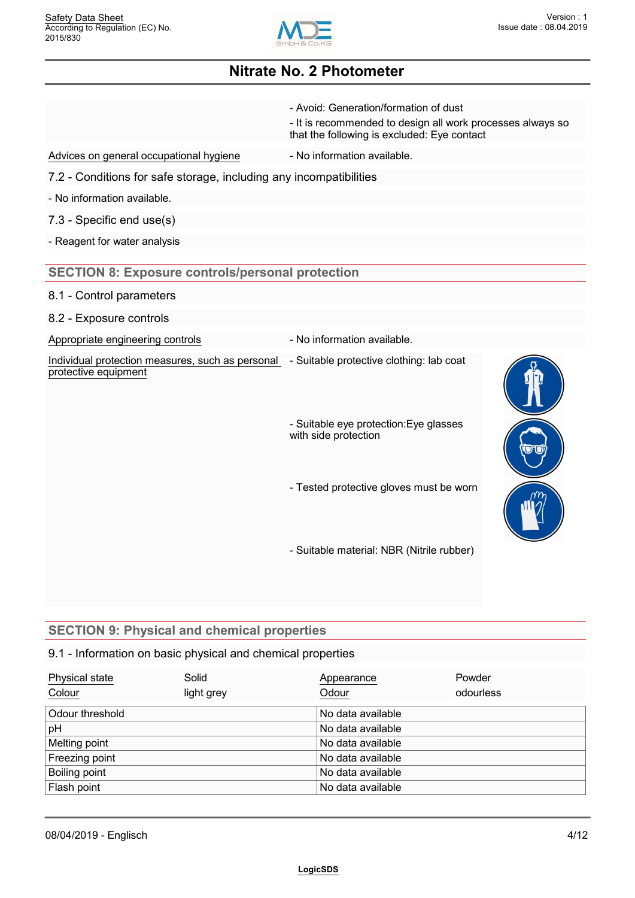

|                                                                          | - Avoid: Generation/formation of dust<br>- It is recommended to design all work processes always so<br>that the following is excluded: Eye contact |  |
|--------------------------------------------------------------------------|----------------------------------------------------------------------------------------------------------------------------------------------------|--|
| Advices on general occupational hygiene                                  | - No information available.                                                                                                                        |  |
| 7.2 - Conditions for safe storage, including any incompatibilities       |                                                                                                                                                    |  |
| - No information available.                                              |                                                                                                                                                    |  |
| 7.3 - Specific end use(s)                                                |                                                                                                                                                    |  |
| - Reagent for water analysis                                             |                                                                                                                                                    |  |
| <b>SECTION 8: Exposure controls/personal protection</b>                  |                                                                                                                                                    |  |
| 8.1 - Control parameters                                                 |                                                                                                                                                    |  |
| 8.2 - Exposure controls                                                  |                                                                                                                                                    |  |
| Appropriate engineering controls                                         | - No information available.                                                                                                                        |  |
| Individual protection measures, such as personal<br>protective equipment | - Suitable protective clothing: lab coat                                                                                                           |  |
|                                                                          | - Suitable eye protection: Eye glasses<br>with side protection                                                                                     |  |
|                                                                          | - Tested protective gloves must be worn                                                                                                            |  |
|                                                                          | - Suitable material: NBR (Nitrile rubber)                                                                                                          |  |

# **SECTION 9: Physical and chemical properties**

## 9.1 - Information on basic physical and chemical properties

| Physical state<br>Colour | Solid<br>light grey | Appearance<br>Odour | Powder<br>odourless |  |
|--------------------------|---------------------|---------------------|---------------------|--|
| Odour threshold          |                     | No data available   |                     |  |
| pH                       |                     | No data available   |                     |  |
| Melting point            |                     | No data available   |                     |  |
| Freezing point           |                     | No data available   |                     |  |
| Boiling point            |                     | No data available   |                     |  |
| Flash point              |                     | No data available   |                     |  |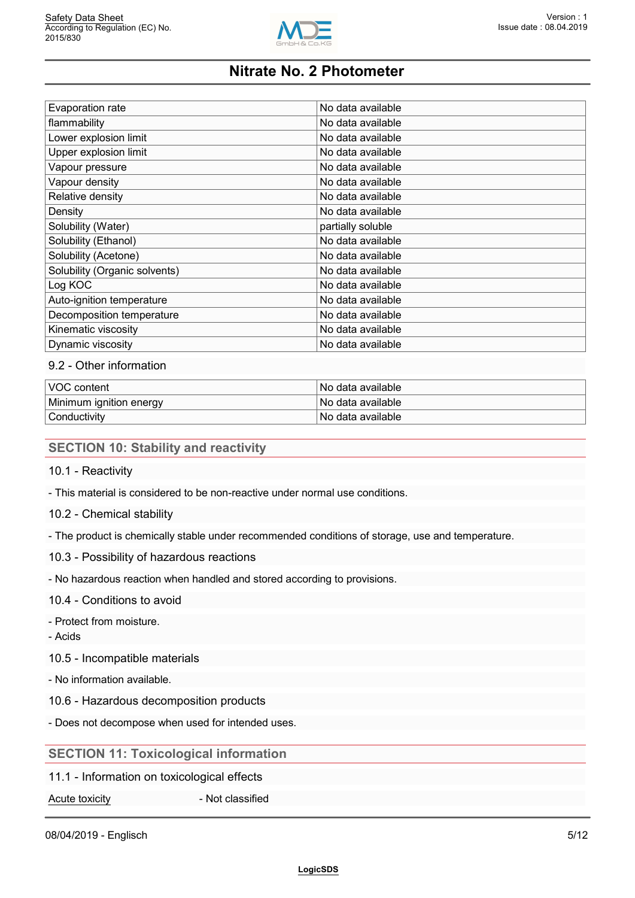

| No data available |
|-------------------|
| No data available |
| No data available |
| No data available |
| No data available |
| No data available |
| No data available |
| No data available |
| partially soluble |
| No data available |
| No data available |
| No data available |
| No data available |
| No data available |
| No data available |
| No data available |
| No data available |
|                   |

#### 9.2 - Other information

| VOC content             | No data available |
|-------------------------|-------------------|
| Minimum ignition energy | No data available |
| Conductivity            | No data available |

#### **SECTION 10: Stability and reactivity**

- 10.1 Reactivity
- This material is considered to be non-reactive under normal use conditions.
- 10.2 Chemical stability
- The product is chemically stable under recommended conditions of storage, use and temperature.
- 10.3 Possibility of hazardous reactions
- No hazardous reaction when handled and stored according to provisions.

## 10.4 - Conditions to avoid

- Protect from moisture.
- Acids
- 10.5 Incompatible materials
- No information available.
- 10.6 Hazardous decomposition products
- Does not decompose when used for intended uses.

## **SECTION 11: Toxicological information**

- 11.1 Information on toxicological effects
- Acute toxicity **Acute toxicity Acute toxicity Acute 1**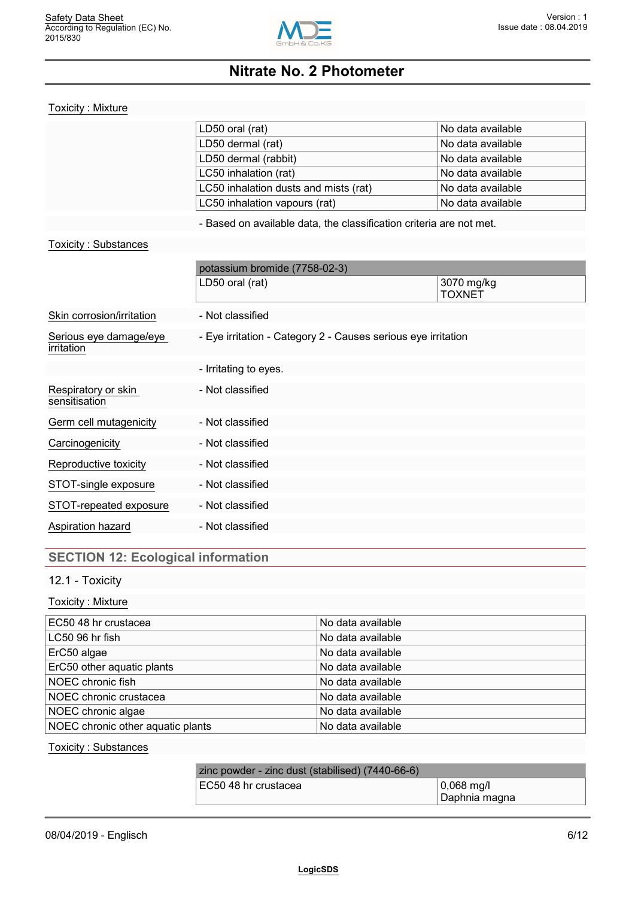

#### Toxicity : Mixture

| LD50 oral (rat)                       | No data available              |
|---------------------------------------|--------------------------------|
| LD50 dermal (rat)                     | No data available              |
| LD50 dermal (rabbit)                  | <sup>∣</sup> No data available |
| LC50 inhalation (rat)                 | No data available              |
| LC50 inhalation dusts and mists (rat) | <sup>∣</sup> No data available |
| LC50 inhalation vapours (rat)         | No data available              |

- Based on available data, the classification criteria are not met.

#### Toxicity : Substances

|                                      | potassium bromide (7758-02-3)                                 |                             |  |
|--------------------------------------|---------------------------------------------------------------|-----------------------------|--|
|                                      | LD50 oral (rat)                                               | 3070 mg/kg<br><b>TOXNET</b> |  |
| Skin corrosion/irritation            | - Not classified                                              |                             |  |
| Serious eye damage/eye<br>irritation | - Eye irritation - Category 2 - Causes serious eye irritation |                             |  |
|                                      | - Irritating to eyes.                                         |                             |  |
| Respiratory or skin<br>sensitisation | - Not classified                                              |                             |  |
| Germ cell mutagenicity               | - Not classified                                              |                             |  |
| Carcinogenicity                      | - Not classified                                              |                             |  |
| Reproductive toxicity                | - Not classified                                              |                             |  |
| STOT-single exposure                 | - Not classified                                              |                             |  |
| STOT-repeated exposure               | - Not classified                                              |                             |  |
| Aspiration hazard                    | - Not classified                                              |                             |  |
|                                      |                                                               |                             |  |

## **SECTION 12: Ecological information**

## 12.1 - Toxicity

#### Toxicity : Mixture

| EC50 48 hr crustacea              | No data available |
|-----------------------------------|-------------------|
| LC50 96 hr fish                   | No data available |
| ErC50 algae                       | No data available |
| ErC50 other aquatic plants        | No data available |
| NOEC chronic fish                 | No data available |
| NOEC chronic crustacea            | No data available |
| NOEC chronic algae                | No data available |
| NOEC chronic other aquatic plants | No data available |

#### Toxicity : Substances

| zinc powder - zinc dust (stabilised) (7440-66-6) |               |
|--------------------------------------------------|---------------|
| EC50 48 hr crustacea                             | 10.068 ma/l   |
|                                                  | Daphnia magna |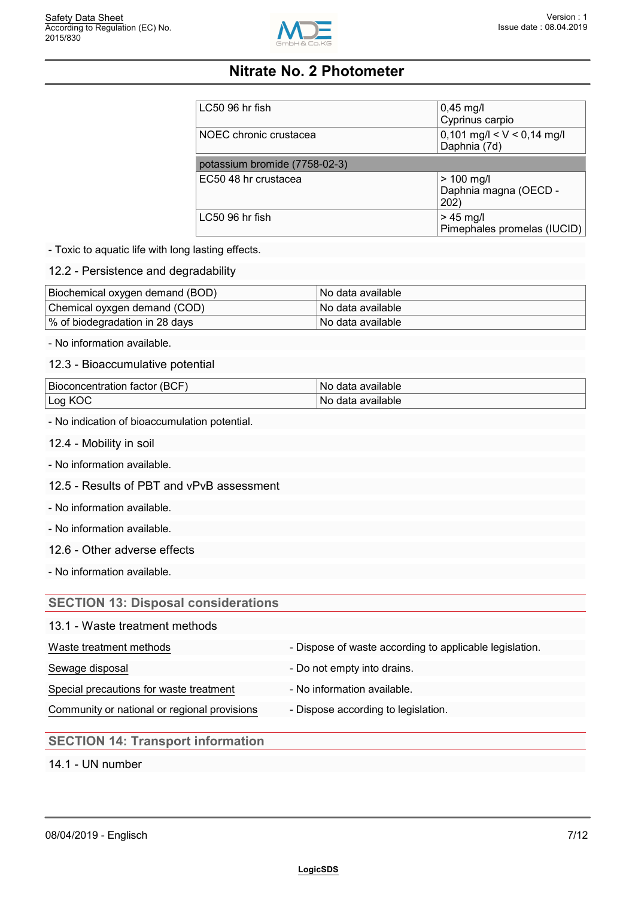

| LC50 96 hr fish               | $0,45$ mg/l<br>Cyprinus carpio                               |
|-------------------------------|--------------------------------------------------------------|
| NOEC chronic crustacea        | $0,101 \text{ mg/l} < V < 0,14 \text{ mg/l}$<br>Daphnia (7d) |
| potassium bromide (7758-02-3) |                                                              |
| EC50 48 hr crustacea          | $> 100$ mg/l<br>Daphnia magna (OECD -<br>202)                |
| LC50 96 hr fish               | $> 45$ mg/l<br>Pimephales promelas (IUCID)                   |

- Toxic to aquatic life with long lasting effects.

12.2 - Persistence and degradability

| Biochemical oxygen demand (BOD) | ⊟No data available l |
|---------------------------------|----------------------|
| Chemical oyxgen demand (COD)    | ⊟No data available l |
| ∣% of biodegradation in 28 days | ⊟No data available l |

- No information available.

12.3 - Bioaccumulative potential

| Bioconcentration factor (BCF) | ' No data available l     |
|-------------------------------|---------------------------|
| Log KC                        | available:<br>No.<br>data |

- No indication of bioaccumulation potential.

- 12.4 Mobility in soil
- No information available.
- 12.5 Results of PBT and vPvB assessment
- No information available.
- No information available.
- 12.6 Other adverse effects

- No information available.

#### **SECTION 13: Disposal considerations**

| 13.1 - Waste treatment methods |  |
|--------------------------------|--|
|--------------------------------|--|

### Waste treatment methods **- Dispose of waste according to applicable legislation**.

- Sewage disposal extensive many contracts are proportionally be Do not empty into drains.
- Special precautions for waste treatment No information available.
	-
- Community or national or regional provisions Dispose according to legislation.

## **SECTION 14: Transport information**

14.1 - UN number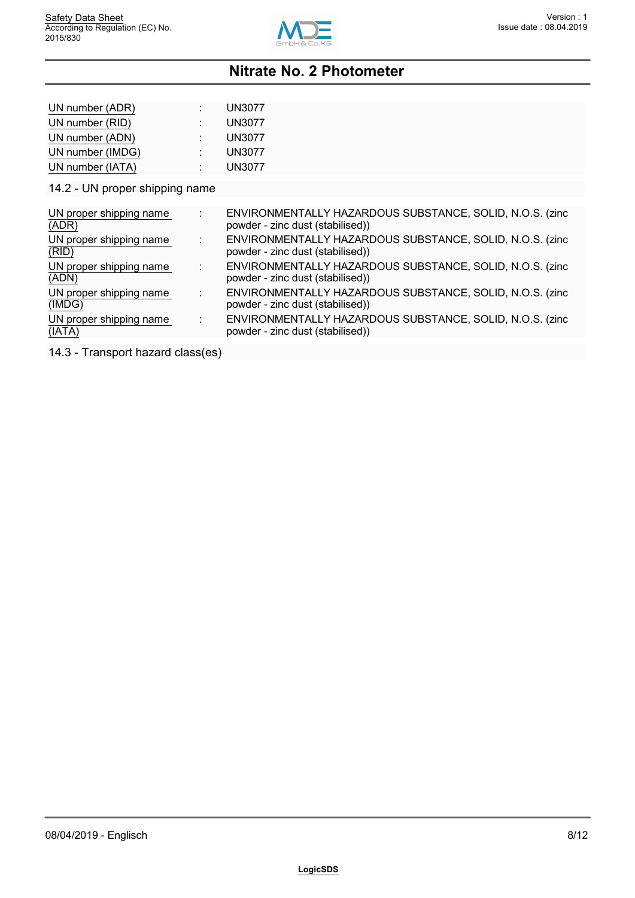

| UN number (ADR)  | <b>UN3077</b> |
|------------------|---------------|
| UN number (RID)  | <b>UN3077</b> |
| UN number (ADN)  | <b>UN3077</b> |
| UN number (IMDG) | <b>UN3077</b> |
| UN number (IATA) | <b>UN3077</b> |

14.2 - UN proper shipping name

| UN proper shipping name<br>(ADR)  | ENVIRONMENTALLY HAZARDOUS SUBSTANCE, SOLID, N.O.S. (zinc<br>powder - zinc dust (stabilised)) |  |
|-----------------------------------|----------------------------------------------------------------------------------------------|--|
| UN proper shipping name<br>(RID)  | ENVIRONMENTALLY HAZARDOUS SUBSTANCE, SOLID, N.O.S. (zinc<br>powder - zinc dust (stabilised)) |  |
| UN proper shipping name<br>(ADN)  | ENVIRONMENTALLY HAZARDOUS SUBSTANCE, SOLID, N.O.S. (zinc<br>powder - zinc dust (stabilised)) |  |
| UN proper shipping name<br>(IMDG) | ENVIRONMENTALLY HAZARDOUS SUBSTANCE, SOLID, N.O.S. (zinc<br>powder - zinc dust (stabilised)) |  |
| UN proper shipping name<br>(IATA) | ENVIRONMENTALLY HAZARDOUS SUBSTANCE, SOLID, N.O.S. (zinc<br>powder - zinc dust (stabilised)) |  |
|                                   |                                                                                              |  |

14.3 - Transport hazard class(es)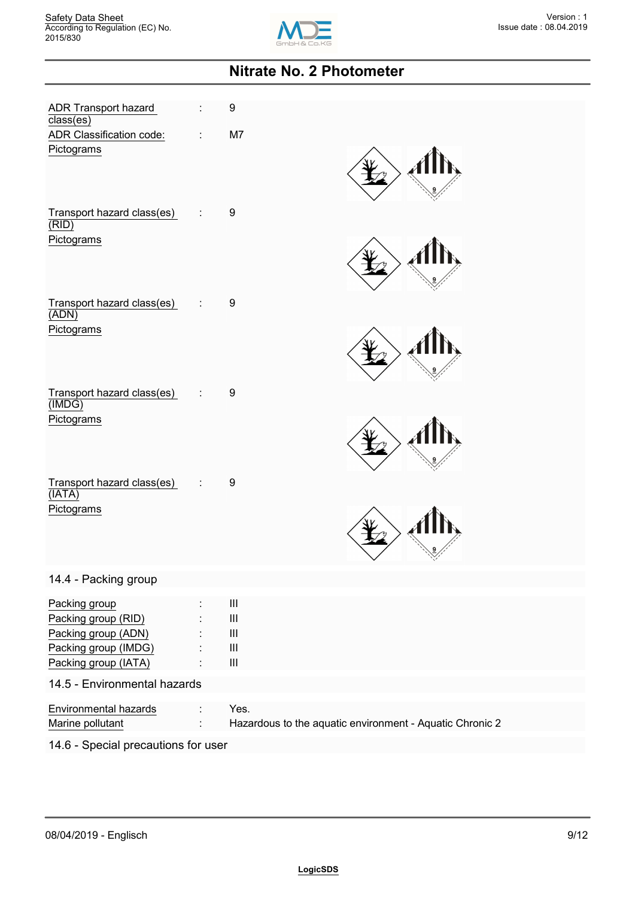

| <b>ADR Transport hazard</b><br>$\overline{\text{class}(\text{es})}$<br>ADR Classification code:<br>Pictograms | ÷ | 9<br>M7                                                                                                                                                   |
|---------------------------------------------------------------------------------------------------------------|---|-----------------------------------------------------------------------------------------------------------------------------------------------------------|
| Transport hazard class(es)                                                                                    | ÷ | 9                                                                                                                                                         |
| (RID)<br>Pictograms                                                                                           |   |                                                                                                                                                           |
| Transport hazard class(es)<br>(ADN)<br>Pictograms                                                             | ÷ | 9                                                                                                                                                         |
| Transport hazard class(es)                                                                                    | ÷ | 9                                                                                                                                                         |
| (MDG)<br>Pictograms                                                                                           |   |                                                                                                                                                           |
| Transport hazard class(es)<br>(IATA)<br>Pictograms                                                            | ÷ | 9                                                                                                                                                         |
| 14.4 - Packing group                                                                                          |   |                                                                                                                                                           |
| Packing group<br>Packing group (RID)<br>Packing group (ADN)<br>Packing group (IMDG)<br>Packing group (IATA)   |   | Ш<br>$\ensuremath{\mathsf{III}}\xspace$<br>$\ensuremath{\mathsf{III}}\xspace$<br>$\ensuremath{\mathsf{III}}\xspace$<br>$\ensuremath{\mathsf{III}}\xspace$ |
| 14.5 - Environmental hazards                                                                                  |   |                                                                                                                                                           |
| Environmental hazards<br>Marine pollutant                                                                     |   | Yes.<br>Hazardous to the aquatic environment - Aquatic Chronic 2                                                                                          |
| 14.6 - Special precautions for user                                                                           |   |                                                                                                                                                           |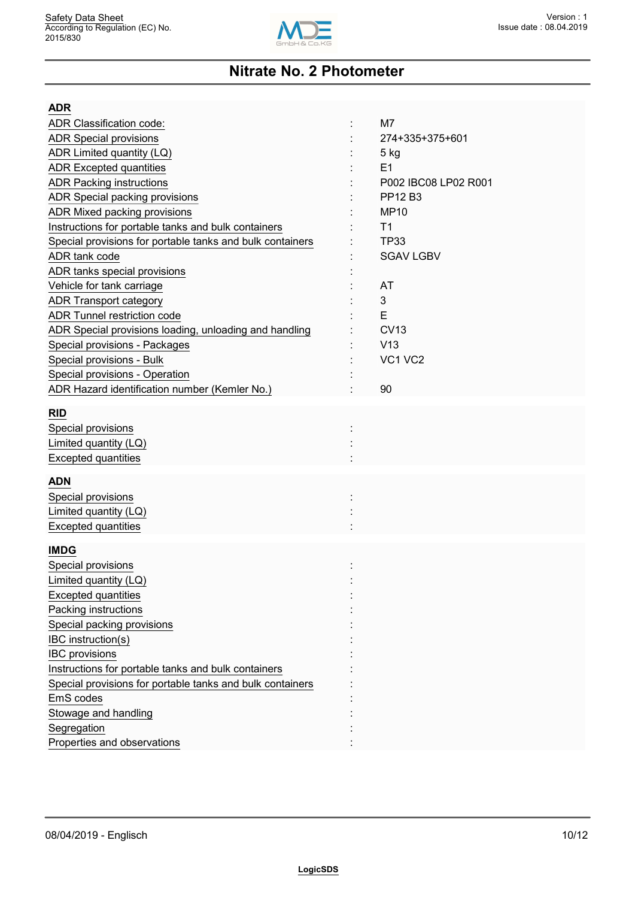

| <b>ADR</b>                                                |                      |
|-----------------------------------------------------------|----------------------|
| <b>ADR Classification code:</b>                           | M7                   |
| <b>ADR Special provisions</b>                             | 274+335+375+601      |
| ADR Limited quantity (LQ)                                 | 5 kg                 |
| <b>ADR Excepted quantities</b>                            | E1                   |
| <b>ADR Packing instructions</b>                           | P002 IBC08 LP02 R001 |
| ADR Special packing provisions                            | PP12 B3              |
| ADR Mixed packing provisions                              | <b>MP10</b>          |
| Instructions for portable tanks and bulk containers       | T <sub>1</sub>       |
| Special provisions for portable tanks and bulk containers | <b>TP33</b>          |
| ADR tank code                                             | <b>SGAV LGBV</b>     |
| ADR tanks special provisions                              |                      |
| Vehicle for tank carriage                                 | AT                   |
| <b>ADR Transport category</b>                             | 3                    |
| <b>ADR Tunnel restriction code</b>                        | E                    |
| ADR Special provisions loading, unloading and handling    | <b>CV13</b>          |
| Special provisions - Packages                             | V13                  |
| Special provisions - Bulk                                 | VC1 VC2              |
| Special provisions - Operation                            |                      |
| ADR Hazard identification number (Kemler No.)             | 90                   |
| <b>RID</b>                                                |                      |
| Special provisions                                        |                      |
| Limited quantity (LQ)                                     |                      |
| <b>Excepted quantities</b>                                |                      |
|                                                           |                      |
| <b>ADN</b>                                                |                      |
| Special provisions                                        |                      |
| Limited quantity (LQ)                                     |                      |
| <b>Excepted quantities</b>                                |                      |
|                                                           |                      |
| <b>IMDG</b>                                               |                      |
| Special provisions                                        |                      |
| Limited quantity (LQ)                                     |                      |
| <b>Excepted quantities</b>                                |                      |
| Packing instructions                                      |                      |
| Special packing provisions                                |                      |
| IBC instruction(s)                                        |                      |
| <b>IBC</b> provisions                                     |                      |
| Instructions for portable tanks and bulk containers       |                      |
| Special provisions for portable tanks and bulk containers |                      |
| EmS codes                                                 |                      |
| Stowage and handling                                      |                      |
| Segregation                                               |                      |
| Properties and observations                               |                      |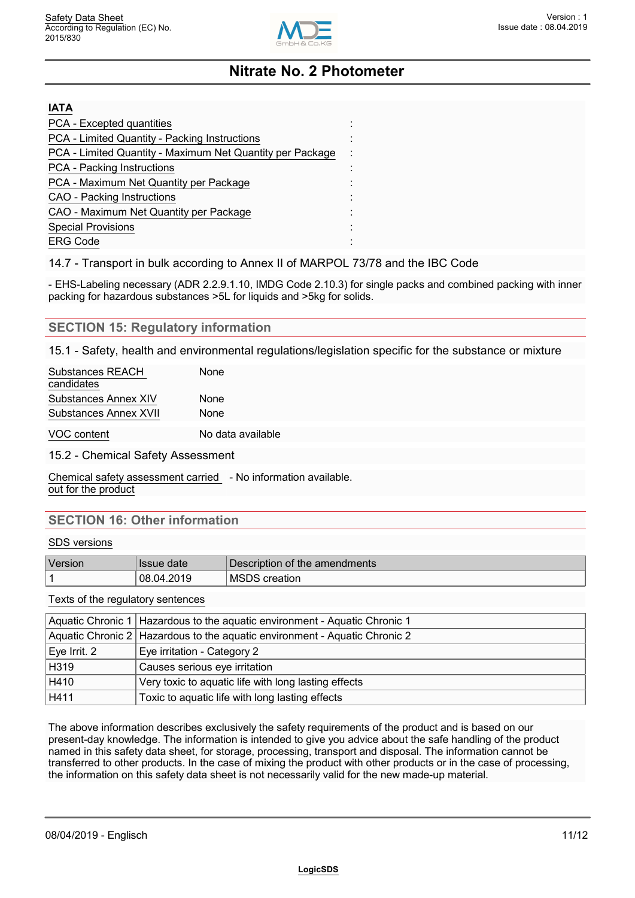

| <b>IATA</b>                                               |  |
|-----------------------------------------------------------|--|
| PCA - Excepted quantities                                 |  |
| PCA - Limited Quantity - Packing Instructions             |  |
| PCA - Limited Quantity - Maximum Net Quantity per Package |  |
| <b>PCA</b> - Packing Instructions                         |  |
| PCA - Maximum Net Quantity per Package                    |  |
| <b>CAO</b> - Packing Instructions                         |  |
| CAO - Maximum Net Quantity per Package                    |  |
| <b>Special Provisions</b>                                 |  |
| <b>ERG Code</b>                                           |  |

14.7 - Transport in bulk according to Annex II of MARPOL 73/78 and the IBC Code

- EHS-Labeling necessary (ADR 2.2.9.1.10, IMDG Code 2.10.3) for single packs and combined packing with inner packing for hazardous substances >5L for liquids and >5kg for solids.

#### **SECTION 15: Regulatory information**

15.1 - Safety, health and environmental regulations/legislation specific for the substance or mixture

| Substances REACH<br>candidates | None              |  |
|--------------------------------|-------------------|--|
| Substances Annex XIV           | None              |  |
| Substances Annex XVII          | None              |  |
| VOC content                    | No data available |  |

15.2 - Chemical Safety Assessment

Chemical safety assessment carried - No information available. out for the product

### **SECTION 16: Other information**

#### SDS versions

| $\mathbf{r}$<br>Version | date<br><b>Issue</b> | ' Description of the amendments' |
|-------------------------|----------------------|----------------------------------|
|                         | 4.2019<br>08.04      | 'MSDS<br>creation                |

Texts of the regulatory sentences

| Aquatic Chronic 1   Hazardous to the aquatic environment - Aquatic Chronic 1 |                                                 |
|------------------------------------------------------------------------------|-------------------------------------------------|
| Aquatic Chronic 2   Hazardous to the aquatic environment - Aquatic Chronic 2 |                                                 |
| Eye Irrit. 2<br>Eye irritation - Category 2                                  |                                                 |
| H319<br>Causes serious eye irritation                                        |                                                 |
| H410<br>Very toxic to aquatic life with long lasting effects                 |                                                 |
| H411                                                                         | Toxic to aquatic life with long lasting effects |

The above information describes exclusively the safety requirements of the product and is based on our present-day knowledge. The information is intended to give you advice about the safe handling of the product named in this safety data sheet, for storage, processing, transport and disposal. The information cannot be transferred to other products. In the case of mixing the product with other products or in the case of processing, the information on this safety data sheet is not necessarily valid for the new made-up material.